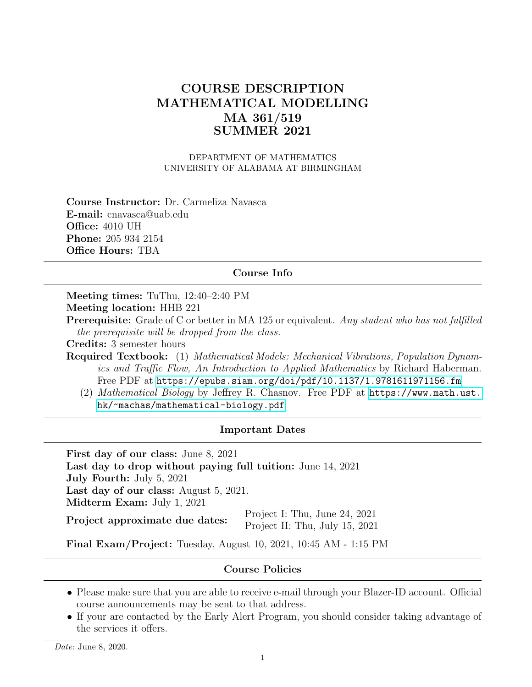# COURSE DESCRIPTION MATHEMATICAL MODELLING MA 361/519 SUMMER 2021

DEPARTMENT OF MATHEMATICS UNIVERSITY OF ALABAMA AT BIRMINGHAM

Course Instructor: Dr. Carmeliza Navasca E-mail: cnavasca@uab.edu Office: 4010 UH Phone: 205 934 2154 Office Hours: TBA

#### Course Info

Meeting times: TuThu, 12:40–2:40 PM Meeting location: HHB 221

**Prerequisite:** Grade of C or better in MA 125 or equivalent. Any student who has not fulfilled the prerequisite will be dropped from the class.

Credits: 3 semester hours

Required Textbook: (1) Mathematical Models: Mechanical Vibrations, Population Dynamics and Traffic Flow, An Introduction to Applied Mathematics by Richard Haberman. Free PDF at <https://epubs.siam.org/doi/pdf/10.1137/1.9781611971156.fm>

(2) Mathematical Biology by Jeffrey R. Chasnov. Free PDF at [https://www.math.ust.](https://www.math.ust.hk/~machas/mathematical-biology.pdf) [hk/~machas/mathematical-biology.pdf](https://www.math.ust.hk/~machas/mathematical-biology.pdf)

#### Important Dates

First day of our class: June 8, 2021 Last day to drop without paying full tuition: June 14, 2021 July Fourth: July 5, 2021 Last day of our class: August 5, 2021. Midterm Exam: July 1, 2021 Project approximate due dates: Project I: Thu, June 24, 2021 Project II: Thu, July 15, 2021

Final Exam/Project: Tuesday, August 10, 2021, 10:45 AM - 1:15 PM

#### Course Policies

- Please make sure that you are able to receive e-mail through your Blazer-ID account. Official course announcements may be sent to that address.
- If your are contacted by the Early Alert Program, you should consider taking advantage of the services it offers.

Date: June 8, 2020.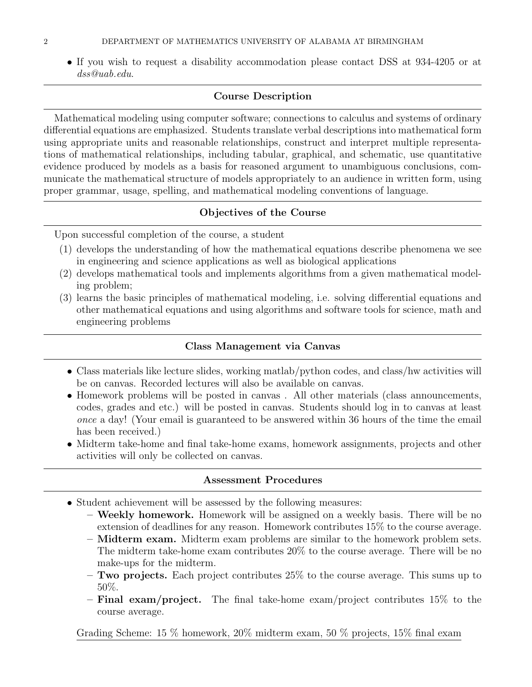• If you wish to request a disability accommodation please contact DSS at 934-4205 or at dss@uab.edu.

## Course Description

Mathematical modeling using computer software; connections to calculus and systems of ordinary differential equations are emphasized. Students translate verbal descriptions into mathematical form using appropriate units and reasonable relationships, construct and interpret multiple representations of mathematical relationships, including tabular, graphical, and schematic, use quantitative evidence produced by models as a basis for reasoned argument to unambiguous conclusions, communicate the mathematical structure of models appropriately to an audience in written form, using proper grammar, usage, spelling, and mathematical modeling conventions of language.

# Objectives of the Course

Upon successful completion of the course, a student

- (1) develops the understanding of how the mathematical equations describe phenomena we see in engineering and science applications as well as biological applications
- (2) develops mathematical tools and implements algorithms from a given mathematical modeling problem;
- (3) learns the basic principles of mathematical modeling, i.e. solving differential equations and other mathematical equations and using algorithms and software tools for science, math and engineering problems

# Class Management via Canvas

- Class materials like lecture slides, working matlab/python codes, and class/hw activities will be on canvas. Recorded lectures will also be available on canvas.
- Homework problems will be posted in canvas . All other materials (class announcements, codes, grades and etc.) will be posted in canvas. Students should log in to canvas at least once a day! (Your email is guaranteed to be answered within 36 hours of the time the email has been received.)
- Midterm take-home and final take-home exams, homework assignments, projects and other activities will only be collected on canvas.

### Assessment Procedures

- Student achievement will be assessed by the following measures:
	- Weekly homework. Homework will be assigned on a weekly basis. There will be no extension of deadlines for any reason. Homework contributes 15% to the course average.
	- Midterm exam. Midterm exam problems are similar to the homework problem sets. The midterm take-home exam contributes 20% to the course average. There will be no make-ups for the midterm.
	- $-$  Two projects. Each project contributes  $25\%$  to the course average. This sums up to 50%.
	- $-$  Final exam/project. The final take-home exam/project contributes 15\% to the course average.

Grading Scheme: 15 % homework, 20% midterm exam, 50 % projects, 15% final exam